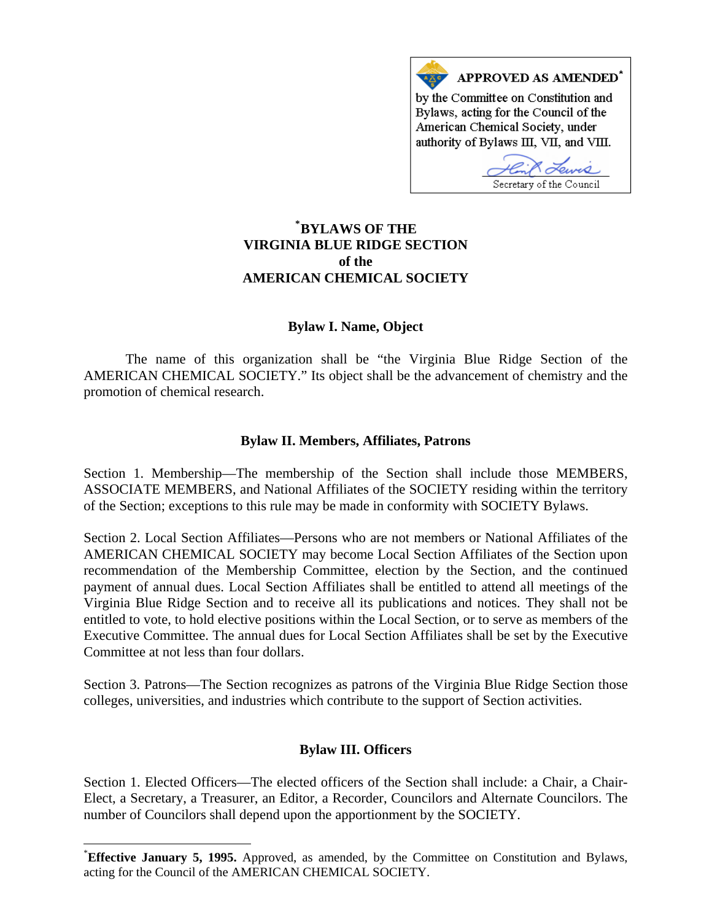

# **\* [BYLAWS OF THE](#page-0-0)  VIRGINIA BLUE RIDGE SECTION of the AMERICAN CHEMICAL SOCIETY**

### **Bylaw I. Name, Object**

 The name of this organization shall be "the Virginia Blue Ridge Section of the AMERICAN CHEMICAL SOCIETY." Its object shall be the advancement of chemistry and the promotion of chemical research.

### **Bylaw II. Members, Affiliates, Patrons**

Section 1. Membership—The membership of the Section shall include those MEMBERS, ASSOCIATE MEMBERS, and National Affiliates of the SOCIETY residing within the territory of the Section; exceptions to this rule may be made in conformity with SOCIETY Bylaws.

Section 2. Local Section Affiliates—Persons who are not members or National Affiliates of the AMERICAN CHEMICAL SOCIETY may become Local Section Affiliates of the Section upon recommendation of the Membership Committee, election by the Section, and the continued payment of annual dues. Local Section Affiliates shall be entitled to attend all meetings of the Virginia Blue Ridge Section and to receive all its publications and notices. They shall not be entitled to vote, to hold elective positions within the Local Section, or to serve as members of the Executive Committee. The annual dues for Local Section Affiliates shall be set by the Executive Committee at not less than four dollars.

Section 3. Patrons—The Section recognizes as patrons of the Virginia Blue Ridge Section those colleges, universities, and industries which contribute to the support of Section activities.

## **Bylaw III. Officers**

Section 1. Elected Officers—The elected officers of the Section shall include: a Chair, a Chair-Elect, a Secretary, a Treasurer, an Editor, a Recorder, Councilors and Alternate Councilors. The number of Councilors shall depend upon the apportionment by the SOCIETY.

 $\overline{a}$ 

<span id="page-0-0"></span><sup>\*</sup> **Effective January 5, 1995.** Approved, as amended, by the Committee on Constitution and Bylaws, acting for the Council of the AMERICAN CHEMICAL SOCIETY.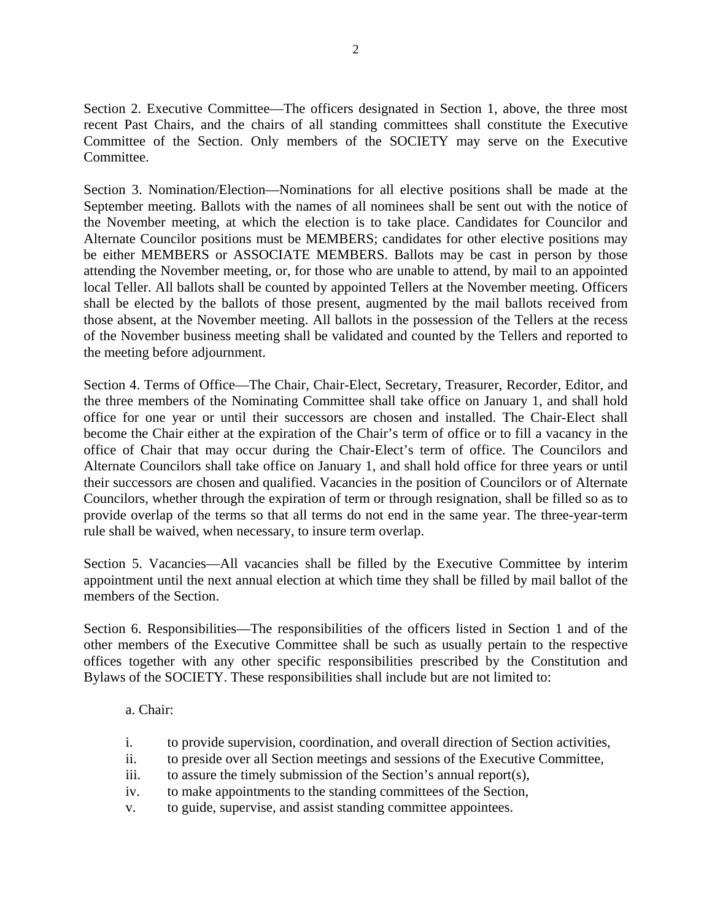Section 2. Executive Committee—The officers designated in Section 1, above, the three most recent Past Chairs, and the chairs of all standing committees shall constitute the Executive Committee of the Section. Only members of the SOCIETY may serve on the Executive Committee.

Section 3. Nomination/Election—Nominations for all elective positions shall be made at the September meeting. Ballots with the names of all nominees shall be sent out with the notice of the November meeting, at which the election is to take place. Candidates for Councilor and Alternate Councilor positions must be MEMBERS; candidates for other elective positions may be either MEMBERS or ASSOCIATE MEMBERS. Ballots may be cast in person by those attending the November meeting, or, for those who are unable to attend, by mail to an appointed local Teller. All ballots shall be counted by appointed Tellers at the November meeting. Officers shall be elected by the ballots of those present, augmented by the mail ballots received from those absent, at the November meeting. All ballots in the possession of the Tellers at the recess of the November business meeting shall be validated and counted by the Tellers and reported to the meeting before adjournment.

Section 4. Terms of Office—The Chair, Chair-Elect, Secretary, Treasurer, Recorder, Editor, and the three members of the Nominating Committee shall take office on January 1, and shall hold office for one year or until their successors are chosen and installed. The Chair-Elect shall become the Chair either at the expiration of the Chair's term of office or to fill a vacancy in the office of Chair that may occur during the Chair-Elect's term of office. The Councilors and Alternate Councilors shall take office on January 1, and shall hold office for three years or until their successors are chosen and qualified. Vacancies in the position of Councilors or of Alternate Councilors, whether through the expiration of term or through resignation, shall be filled so as to provide overlap of the terms so that all terms do not end in the same year. The three-year-term rule shall be waived, when necessary, to insure term overlap.

Section 5. Vacancies—All vacancies shall be filled by the Executive Committee by interim appointment until the next annual election at which time they shall be filled by mail ballot of the members of the Section.

Section 6. Responsibilities—The responsibilities of the officers listed in Section 1 and of the other members of the Executive Committee shall be such as usually pertain to the respective offices together with any other specific responsibilities prescribed by the Constitution and Bylaws of the SOCIETY. These responsibilities shall include but are not limited to:

a. Chair:

- i. to provide supervision, coordination, and overall direction of Section activities,
- ii. to preside over all Section meetings and sessions of the Executive Committee,
- iii. to assure the timely submission of the Section's annual report(s),
- iv. to make appointments to the standing committees of the Section,
- v. to guide, supervise, and assist standing committee appointees.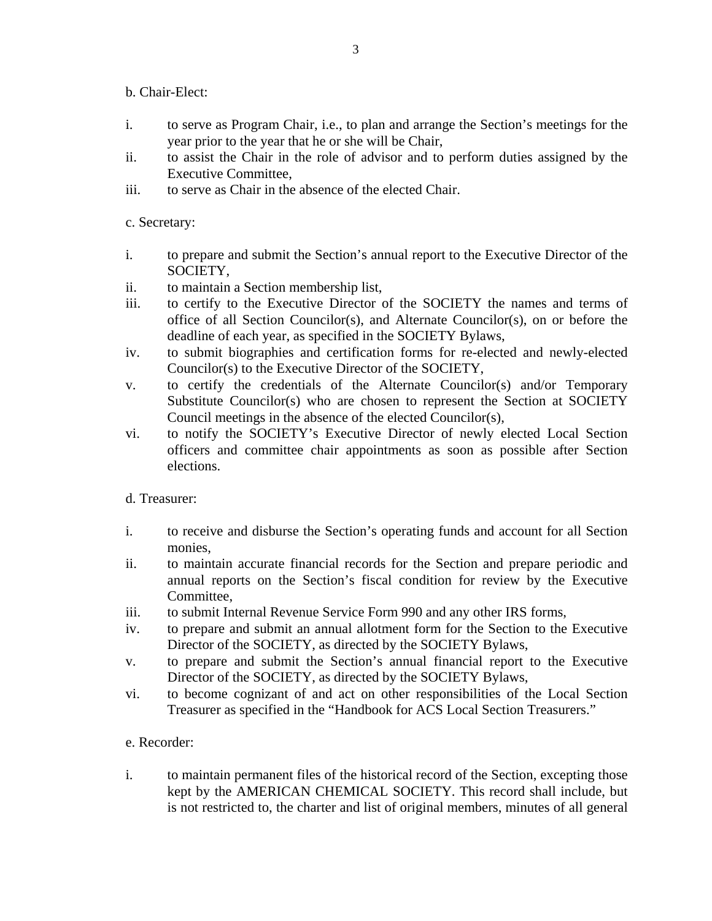b. Chair-Elect:

- i. to serve as Program Chair, i.e., to plan and arrange the Section's meetings for the year prior to the year that he or she will be Chair,
- ii. to assist the Chair in the role of advisor and to perform duties assigned by the Executive Committee,
- iii. to serve as Chair in the absence of the elected Chair.

c. Secretary:

- i. to prepare and submit the Section's annual report to the Executive Director of the SOCIETY,
- ii. to maintain a Section membership list,
- iii. to certify to the Executive Director of the SOCIETY the names and terms of office of all Section Councilor(s), and Alternate Councilor(s), on or before the deadline of each year, as specified in the SOCIETY Bylaws,
- iv. to submit biographies and certification forms for re-elected and newly-elected Councilor(s) to the Executive Director of the SOCIETY,
- v. to certify the credentials of the Alternate Councilor(s) and/or Temporary Substitute Councilor(s) who are chosen to represent the Section at SOCIETY Council meetings in the absence of the elected Councilor(s),
- vi. to notify the SOCIETY's Executive Director of newly elected Local Section officers and committee chair appointments as soon as possible after Section elections.

d. Treasurer:

- i. to receive and disburse the Section's operating funds and account for all Section monies,
- ii. to maintain accurate financial records for the Section and prepare periodic and annual reports on the Section's fiscal condition for review by the Executive Committee,
- iii. to submit Internal Revenue Service Form 990 and any other IRS forms,
- iv. to prepare and submit an annual allotment form for the Section to the Executive Director of the SOCIETY, as directed by the SOCIETY Bylaws,
- v. to prepare and submit the Section's annual financial report to the Executive Director of the SOCIETY, as directed by the SOCIETY Bylaws,
- vi. to become cognizant of and act on other responsibilities of the Local Section Treasurer as specified in the "Handbook for ACS Local Section Treasurers."

## e. Recorder:

i. to maintain permanent files of the historical record of the Section, excepting those kept by the AMERICAN CHEMICAL SOCIETY. This record shall include, but is not restricted to, the charter and list of original members, minutes of all general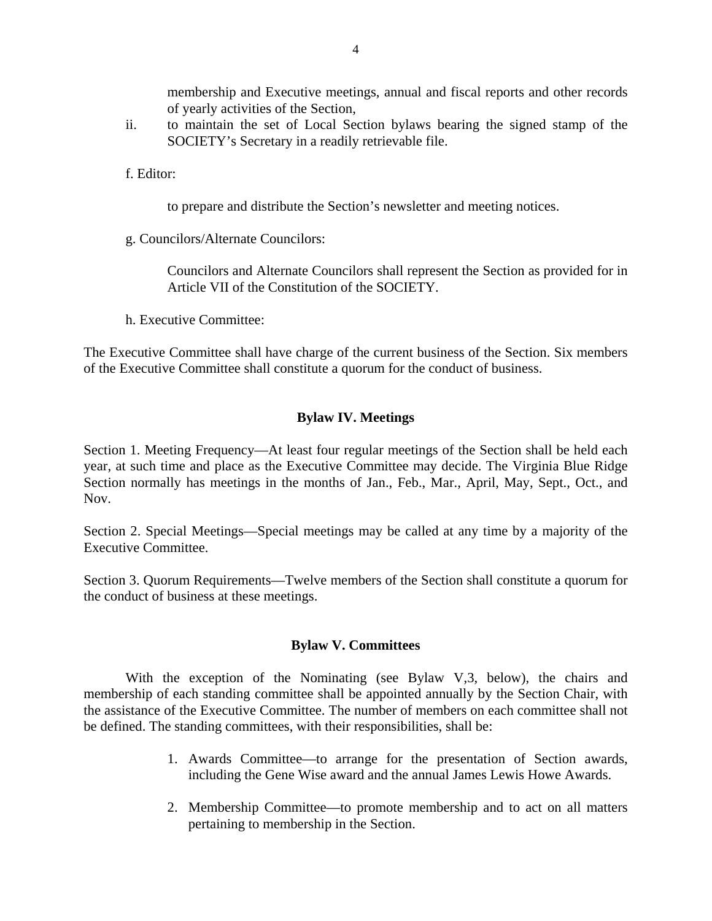membership and Executive meetings, annual and fiscal reports and other records of yearly activities of the Section,

ii. to maintain the set of Local Section bylaws bearing the signed stamp of the SOCIETY's Secretary in a readily retrievable file.

f. Editor:

to prepare and distribute the Section's newsletter and meeting notices.

g. Councilors/Alternate Councilors:

Councilors and Alternate Councilors shall represent the Section as provided for in Article VII of the Constitution of the SOCIETY.

h. Executive Committee:

The Executive Committee shall have charge of the current business of the Section. Six members of the Executive Committee shall constitute a quorum for the conduct of business.

## **Bylaw IV. Meetings**

Section 1. Meeting Frequency—At least four regular meetings of the Section shall be held each year, at such time and place as the Executive Committee may decide. The Virginia Blue Ridge Section normally has meetings in the months of Jan., Feb., Mar., April, May, Sept., Oct., and Nov.

Section 2. Special Meetings—Special meetings may be called at any time by a majority of the Executive Committee.

Section 3. Quorum Requirements—Twelve members of the Section shall constitute a quorum for the conduct of business at these meetings.

### **Bylaw V. Committees**

With the exception of the Nominating (see Bylaw V,3, below), the chairs and membership of each standing committee shall be appointed annually by the Section Chair, with the assistance of the Executive Committee. The number of members on each committee shall not be defined. The standing committees, with their responsibilities, shall be:

- 1. Awards Committee—to arrange for the presentation of Section awards, including the Gene Wise award and the annual James Lewis Howe Awards.
- 2. Membership Committee—to promote membership and to act on all matters pertaining to membership in the Section.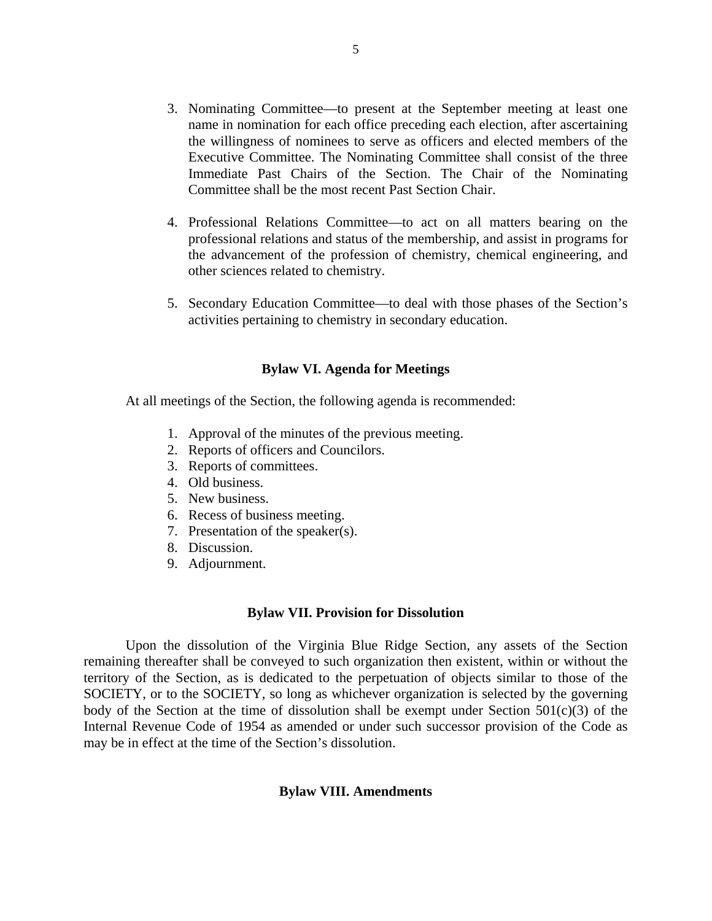- 3. Nominating Committee—to present at the September meeting at least one name in nomination for each office preceding each election, after ascertaining the willingness of nominees to serve as officers and elected members of the Executive Committee. The Nominating Committee shall consist of the three Immediate Past Chairs of the Section. The Chair of the Nominating Committee shall be the most recent Past Section Chair.
- 4. Professional Relations Committee—to act on all matters bearing on the professional relations and status of the membership, and assist in programs for the advancement of the profession of chemistry, chemical engineering, and other sciences related to chemistry.
- 5. Secondary Education Committee—to deal with those phases of the Section's activities pertaining to chemistry in secondary education.

#### **Bylaw VI. Agenda for Meetings**

At all meetings of the Section, the following agenda is recommended:

- 1. Approval of the minutes of the previous meeting.
- 2. Reports of officers and Councilors.
- 3. Reports of committees.
- 4. Old business.
- 5. New business.
- 6. Recess of business meeting.
- 7. Presentation of the speaker(s).
- 8. Discussion.
- 9. Adjournment.

#### **Bylaw VII. Provision for Dissolution**

 Upon the dissolution of the Virginia Blue Ridge Section, any assets of the Section remaining thereafter shall be conveyed to such organization then existent, within or without the territory of the Section, as is dedicated to the perpetuation of objects similar to those of the SOCIETY, or to the SOCIETY, so long as whichever organization is selected by the governing body of the Section at the time of dissolution shall be exempt under Section  $501(c)(3)$  of the Internal Revenue Code of 1954 as amended or under such successor provision of the Code as may be in effect at the time of the Section's dissolution.

#### **Bylaw VIII. Amendments**